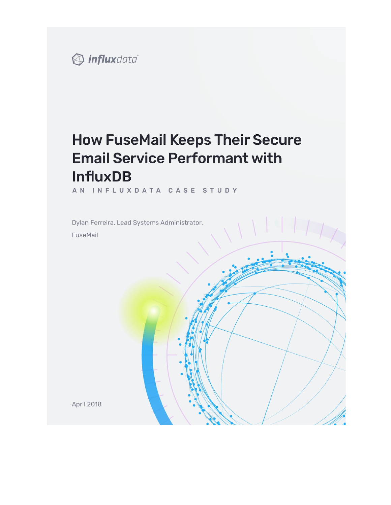

# **How FuseMail Keeps Their Secure Email Service Performant with InfluxDB**

AN INFLUXDATA CASE STUDY

Dylan Ferreira, Lead Systems Administrator, FuseMail

**April 2018**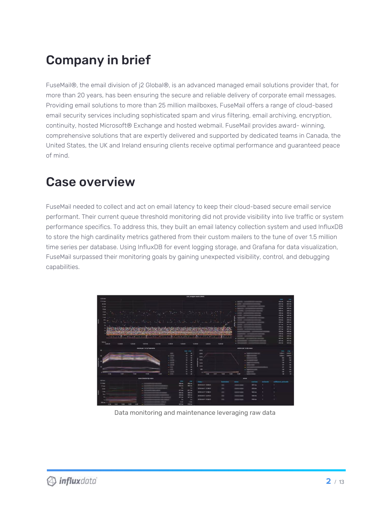# Company in brief

FuseMail®, the email division of j2 Global®, is an advanced managed email solutions provider that, for more than 20 years, has been ensuring the secure and reliable delivery of corporate email messages. Providing email solutions to more than 25 million mailboxes, FuseMail offers a range of cloud-based email security services including sophisticated spam and virus filtering, email archiving, encryption, continuity, hosted Microsoft® Exchange and hosted webmail. FuseMail provides award- winning, comprehensive solutions that are expertly delivered and supported by dedicated teams in Canada, the United States, the UK and Ireland ensuring clients receive optimal performance and guaranteed peace of mind.

### Case overview

FuseMail needed to collect and act on email latency to keep their cloud-based secure email service performant. Their current queue threshold monitoring did not provide visibility into live traffic or system performance specifics. To address this, they built an email latency collection system and used InfluxDB to store the high cardinality metrics gathered from their custom mailers to the tune of over 1.5 million time series per database. Using InfluxDB for event logging storage, and Grafana for data visualization, FuseMail surpassed their monitoring goals by gaining unexpected visibility, control, and debugging capabilities.



Data monitoring and maintenance leveraging raw data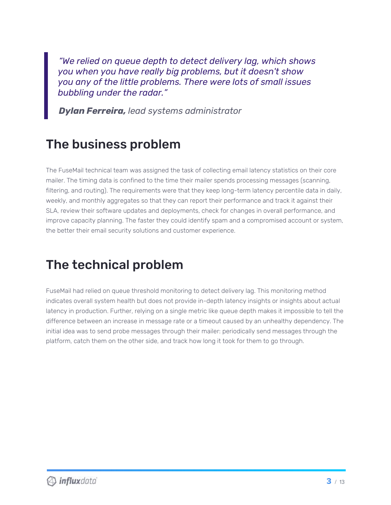*"We relied on queue depth to detect delivery lag, which shows you when you have really big problems, but it doesn't show you any of the little problems. There were lots of small issues bubbling under the radar."*

*Dylan Ferreira, lead systems administrator*

### The business problem

The FuseMail technical team was assigned the task of collecting email latency statistics on their core mailer. The timing data is confined to the time their mailer spends processing messages (scanning, filtering, and routing). The requirements were that they keep long-term latency percentile data in daily, weekly, and monthly aggregates so that they can report their performance and track it against their SLA, review their software updates and deployments, check for changes in overall performance, and improve capacity planning. The faster they could identify spam and a compromised account or system, the better their email security solutions and customer experience.

## The technical problem

FuseMail had relied on queue threshold monitoring to detect delivery lag. This monitoring method indicates overall system health but does not provide in-depth latency insights or insights about actual latency in production. Further, relying on a single metric like queue depth makes it impossible to tell the difference between an increase in message rate or a timeout caused by an unhealthy dependency. The initial idea was to send probe messages through their mailer: periodically send messages through the platform, catch them on the other side, and track how long it took for them to go through.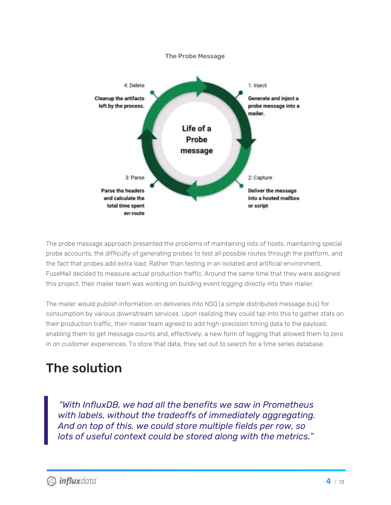

The probe message approach presented the problems of maintaining lists of hosts, maintaining special probe accounts, the difficulty of generating probes to test all possible routes through the platform, and the fact that probes add extra load. Rather than testing in an isolated and artificial environment, FuseMail decided to measure actual production traffic. Around the same time that they were assigned this project, their mailer team was working on building event logging directly into their mailer.

The mailer would publish information on deliveries into NSQ (a simple distributed message bus) for consumption by various downstream services. Upon realizing they could tap into this to gather stats on their production traffic, their mailer team agreed to add high-precision timing data to the payload, enabling them to get message counts and, effectively, a new form of logging that allowed them to zero in on customer experiences. To store that data, they set out to search for a time series database.

# The solution

*"With InfluxDB, we had all the benefits we saw in Prometheus with labels, without the tradeoffs of immediately aggregating. And on top of this, we could store multiple fields per row, so lots of useful context could be stored along with the metrics."*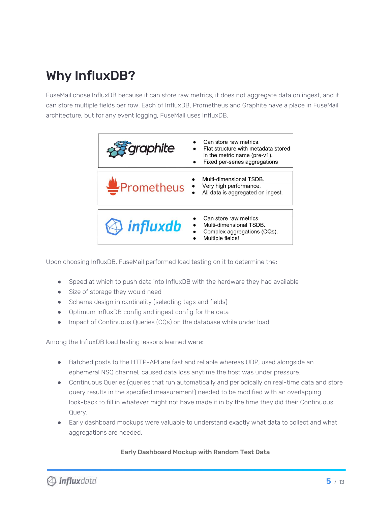# Why InfluxDB?

FuseMail chose InfluxDB because it can store raw metrics, it does not aggregate data on ingest, and it can store multiple fields per row. Each of InfluxDB, Prometheus and Graphite have a place in FuseMail architecture, but for any event logging, FuseMail uses InfluxDB.



Upon choosing InfluxDB, FuseMail performed load testing on it to determine the:

- Speed at which to push data into InfluxDB with the hardware they had available
- Size of storage they would need
- Schema design in cardinality (selecting tags and fields)
- Optimum InfluxDB config and ingest config for the data
- Impact of Continuous Queries (CQs) on the database while under load

Among the InfluxDB load testing lessons learned were:

- Batched posts to the HTTP-API are fast and reliable whereas UDP, used alongside an ephemeral NSQ channel, caused data loss anytime the host was under pressure.
- Continuous Queries (queries that run automatically and periodically on real-time data and store query results in the specified measurement) needed to be modified with an overlapping look-back to fill in whatever might not have made it in by the time they did their Continuous Query.
- Early dashboard mockups were valuable to understand exactly what data to collect and what aggregations are needed.

#### Early Dashboard Mockup with Random Test Data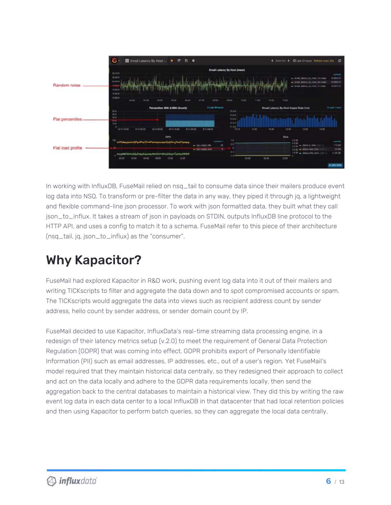

In working with InfluxDB, FuseMail relied on nsq\_tail to consume data since their mailers produce event log data into NSQ. To transform or pre-filter the data in any way, they piped it through jq, a lightweight and flexible command-line json processor. To work with json formatted data, they built what they call json\_to\_influx. It takes a stream of json in payloads on STDIN, outputs InfluxDB line protocol to the HTTP API, and uses a config to match it to a schema. FuseMail refer to this piece of their architecture (nsq\_tail, jq, json\_to\_influx) as the "consumer".

# Why Kapacitor?

FuseMail had explored Kapacitor in R&D work, pushing event log data into it out of their mailers and writing TICKscripts to filter and aggregate the data down and to spot compromised accounts or spam. The TICKscripts would aggregate the data into views such as recipient address count by sender address, hello count by sender address, or sender domain count by IP.

FuseMail decided to use Kapacitor, InfluxData's real-time streaming data processing engine, in a redesign of their latency metrics setup (v.2.0) to meet the requirement of General Data Protection Regulation (GDPR) that was coming into effect. GDPR prohibits export of Personally Identifiable Information (PII) such as email addresses, IP addresses, etc., out of a user's region. Yet FuseMail's model required that they maintain historical data centrally, so they redesigned their approach to collect and act on the data locally and adhere to the GDPR data requirements locally, then send the aggregation back to the central databases to maintain a historical view. They did this by writing the raw event log data in each data center to a local InfluxDB in that datacenter that had local retention policies and then using Kapacitor to perform batch queries, so they can aggregate the local data centrally.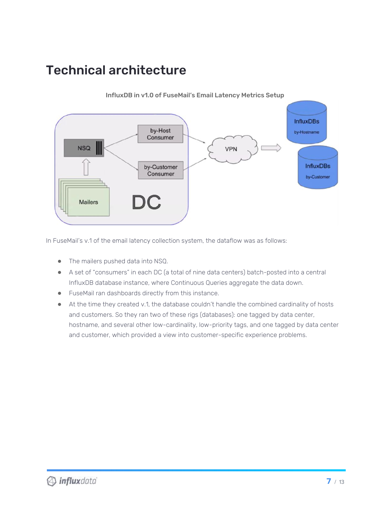## Technical architecture



InfluxDB in v1.0 of FuseMail's Email Latency Metrics Setup

In FuseMail's v.1 of the email latency collection system, the dataflow was as follows:

- The mailers pushed data into NSQ.
- A set of "consumers" in each DC (a total of nine data centers) batch-posted into a central InfluxDB database instance, where Continuous Queries aggregate the data down.
- FuseMail ran dashboards directly from this instance.
- At the time they created v.1, the database couldn't handle the combined cardinality of hosts and customers. So they ran two of these rigs (databases): one tagged by data center, hostname, and several other low-cardinality, low-priority tags, and one tagged by data center and customer, which provided a view into customer-specific experience problems.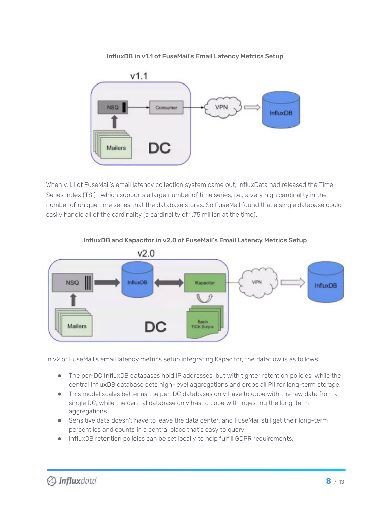#### InfluxDB in v1.1 of FuseMail's Email Latency Metrics Setup



When v.1.1 of FuseMail's email latency collection system came out, InfluxData had released the Time Series Index (TSI)—which supports a large number of time series, i.e., a very high cardinality in the number of unique time series that the database stores. So FuseMail found that a single database could easily handle all of the cardinality (a cardinality of 1.75 million at the time).



#### InfluxDB and Kapacitor in v2.0 of FuseMail's Email Latency Metrics Setup

In v2 of FuseMail's email latency metrics setup integrating Kapacitor, the dataflow is as follows:

- The per-DC InfluxDB databases hold IP addresses, but with tighter retention policies, while the central InfluxDB database gets high-level aggregations and drops all PII for long-term storage.
- This model scales better as the per-DC databases only have to cope with the raw data from a single DC, while the central database only has to cope with ingesting the long-term aggregations.
- Sensitive data doesn't have to leave the data center, and FuseMail still get their long-term percentiles and counts in a central place that's easy to query.
- InfluxDB retention policies can be set locally to help fulfill GDPR requirements.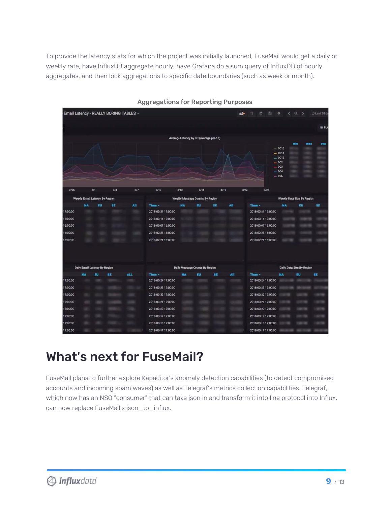To provide the latency stats for which the project was initially launched, FuseMail would get a daily or weekly rate, have InfluxDB aggregate hourly, have Grafana do a sum query of InfluxDB of hourly aggregates, and then lock aggregations to specific date boundaries (such as week or month).

| Email Latency - REALLY BORING TABLES - |                                |     |           |      |                                       |           |                                        |      |            | 自<br>西                       | ۰<br>$\sim$       | $Q \rightarrow$ | C Last 30 da |
|----------------------------------------|--------------------------------|-----|-----------|------|---------------------------------------|-----------|----------------------------------------|------|------------|------------------------------|-------------------|-----------------|--------------|
|                                        |                                |     |           |      |                                       |           |                                        |      |            |                              |                   |                 | $\equiv$ SLA |
|                                        |                                |     |           |      |                                       |           | Average Latency by DC (average per-1d) |      |            |                              |                   |                 |              |
|                                        |                                |     |           |      |                                       |           |                                        |      |            |                              |                   | min             | -            |
|                                        |                                |     |           |      |                                       |           |                                        |      |            |                              | $-00$<br>$-$ DC11 |                 |              |
|                                        |                                |     |           |      |                                       |           |                                        |      |            |                              | $-$ DC12          |                 |              |
|                                        |                                |     |           |      |                                       |           |                                        |      |            |                              | $-002$<br>$=DC3$  |                 |              |
|                                        |                                |     |           |      |                                       |           |                                        |      |            |                              | $=$ DC4           |                 |              |
|                                        |                                |     |           |      |                                       |           |                                        |      |            |                              | $-DC6$            |                 |              |
| 2/26                                   |                                | 3/1 | 3/4       | 3/7  | 3/10                                  | 3/13      | 3/16                                   | 3/19 | 3/22       | 3/25                         |                   |                 |              |
|                                        |                                |     |           |      |                                       |           |                                        |      |            |                              |                   |                 |              |
|                                        | Weekly Email Latency By Region |     |           |      | Weekly Message Counts By Region       |           |                                        |      |            | Weekly Data Size By Region   |                   |                 |              |
| 17:00:00                               | <b>MA</b>                      | EU  | SE        | All  | Time -<br>2018-03-21 17:00:00         | <b>NA</b> | <b>BU</b>                              | SE   | <b>AII</b> | Time-<br>2018-03-21 17:00:00 | <b>NA</b>         | EU              | SE           |
|                                        |                                |     |           |      | 2018-03-14 17:00:00                   |           |                                        |      |            | 2018-03-14 17:00:00          |                   |                 |              |
| 17:00:00<br>16:00:00                   |                                |     |           |      | 2018-03-07 16:00:00                   |           |                                        |      |            | 2018-03-07 16:00:00          |                   |                 |              |
|                                        |                                |     |           |      |                                       |           |                                        |      |            |                              |                   |                 |              |
| 16:00:00                               |                                |     |           |      | 2018-02-28 16:00:00                   |           |                                        |      |            | 2018-02-28 16:00:00          |                   |                 |              |
| 16:00:00                               |                                |     |           |      | 2018-02-21 16:00:00                   |           |                                        |      |            | 2018-02-21 16:00:00          |                   |                 |              |
|                                        |                                |     |           |      |                                       |           |                                        |      |            |                              |                   |                 |              |
| Daily Email Latency By Region          |                                |     |           |      | <b>Daily Message Counts By Region</b> |           |                                        |      |            | Daily Data Size By Region    |                   |                 |              |
|                                        | <b>NA</b>                      | EU  | <b>SE</b> | ALL. | Time.                                 | <b>NA</b> | EU                                     | SE   | <b>AII</b> | Time.                        | <b>NA</b>         | EU              | <b>SE</b>    |
| 17:00:00                               |                                |     |           |      | 2018-03-24 17:00:00                   |           |                                        |      |            | 2018-03-24 17:00:00          |                   |                 |              |
| 17:00:00                               |                                |     |           |      | 2018-03-23 17:00:00                   |           |                                        |      |            | 2018-03-23 17:00:00          |                   |                 |              |
| 17:00:00                               |                                |     |           |      | 2018-03-22 17:00:00                   |           |                                        |      |            | 2018-03-22 17:00:00          |                   |                 |              |
| 17:00:00                               |                                |     |           |      | 2018-03-21 17:00:00                   |           |                                        |      |            | 2018-03-21 17:00:00          |                   |                 |              |
| 17:00:00                               |                                |     |           |      | 2018-03-20 17:00:00                   |           |                                        |      |            | 2018-03-20 17:00:00          |                   |                 |              |
| 17:00:00                               |                                |     |           |      | 2018-03-19 17:00:00                   |           |                                        |      |            | 2018-03-19 17:00:00          |                   |                 |              |
| 17:00:00                               |                                |     |           |      | 2018-03-18 17:00:00                   |           |                                        |      |            | 2018-03-18 17:00:00          |                   |                 |              |
| 17:00:00                               |                                |     |           |      | 2018-03-17 17:00:00                   |           |                                        |      |            | 2018-03-17 17:00:00          |                   |                 |              |

#### Aggregations for Reporting Purposes

### What's next for FuseMail?

FuseMail plans to further explore Kapacitor's anomaly detection capabilities (to detect compromised accounts and incoming spam waves) as well as Telegraf's metrics collection capabilities. Telegraf, which now has an NSQ "consumer" that can take json in and transform it into line protocol into Influx, can now replace FuseMail's json\_to\_influx.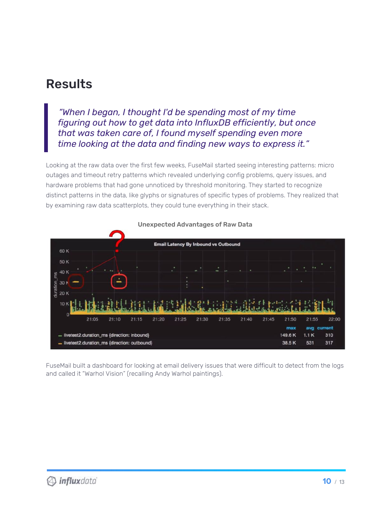### Results

*"When I began, I thought I'd be spending most of my time figuring out how to get data into InfluxDB efficiently, but once that was taken care of, I found myself spending even more time looking at the data and finding new ways to express it."*

Looking at the raw data over the first few weeks, FuseMail started seeing interesting patterns: micro outages and timeout retry patterns which revealed underlying config problems, query issues, and hardware problems that had gone unnoticed by threshold monitoring. They started to recognize distinct patterns in the data, like glyphs or signatures of specific types of problems. They realized that by examining raw data scatterplots, they could tune everything in their stack.



Unexpected Advantages of Raw Data

FuseMail built a dashboard for looking at email delivery issues that were difficult to detect from the logs and called it "Warhol Vision" (recalling Andy Warhol paintings).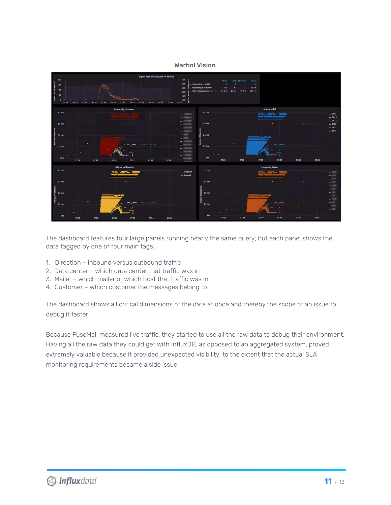#### Warhol Vision



The dashboard features four large panels running nearly the same query, but each panel shows the data tagged by one of four main tags:

- 1. Direction inbound versus outbound traffic
- 2. Data center which data center that traffic was in
- 3. Mailer which mailer or which host that traffic was in
- 4. Customer which customer the messages belong to

The dashboard shows all critical dimensions of the data at once and thereby the scope of an issue to debug it faster.

Because FuseMail measured live traffic, they started to use all the raw data to debug their environment. Having all the raw data they could get with InfluxDB, as opposed to an aggregated system, proved extremely valuable because it provided unexpected visibility, to the extent that the actual SLA monitoring requirements became a side issue.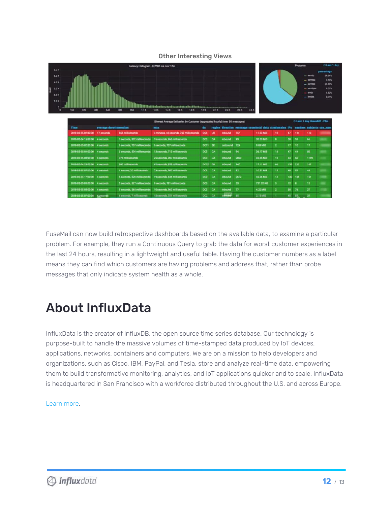#### Other Interesting Views



FuseMail can now build retrospective dashboards based on the available data, to examine a particular problem. For example, they run a Continuous Query to grab the data for worst customer experiences in the last 24 hours, resulting in a lightweight and useful table. Having the customer numbers as a label means they can find which customers are having problems and address that, rather than probe messages that only indicate system health as a whole.

## About InfluxData

InfluxData is the creator of InfluxDB, the open source time series database. Our technology is purpose-built to handle the massive volumes of time-stamped data produced by IoT devices, applications, networks, containers and computers. We are on a mission to help developers and organizations, such as Cisco, IBM, PayPal, and Tesla, store and analyze real-time data, empowering them to build transformative monitoring, analytics, and IoT applications quicker and to scale. InfluxData is headquartered in San Francisco with a workforce distributed throughout the U.S. and across Europe.

[Learn](http://www.influxdata.com/) more.